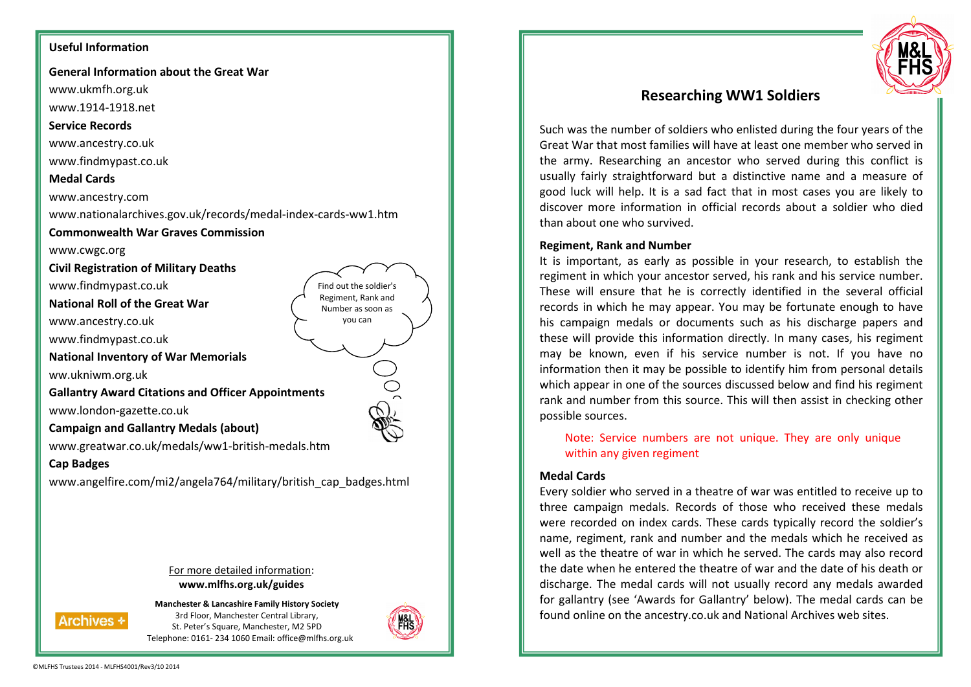# **Useful Information**

**General Information about the Great War** 

www.ukmfh.org.uk

www.1914-1918.net

#### **Service Records**

www.ancestry.co.uk

www.findmypast.co.uk

#### **Medal Cards**

www.ancestry.com

www.nationalarchives.gov.uk/records/medal-index-cards-ww1.htm

**Commonwealth War Graves Commission** 

www.cwgc.org

**Civil Registration of Military Deaths** 

www.findmypast.co.uk

**National Roll of the Great War** 

www.ancestry.co.uk

www.findmypast.co.uk

**National Inventory of War Memorials** 

ww.ukniwm.org.uk

**Gallantry Award Citations and Officer Appointments** 

www.london-gazette.co.uk

**Campaign and Gallantry Medals (about)** 

www.greatwar.co.uk/medals/ww1-british-medals.htm

#### **Cap Badges**

www.angelfire.com/mi2/angela764/military/british\_cap\_badges.html

For more detailed information: **www.mlfhs.org.uk/guides** 

**Archives +** 

**Manchester & Lancashire Family History Society**3rd Floor, Manchester Central Library, St. Peter's Square, Manchester, M2 5PD Telephone: 0161- 234 1060 Email: office@mlfhs.org.uk



Find out the soldier's Regiment, Rank and Number as soon as you can



# **Researching WW1 Soldiers**

Such was the number of soldiers who enlisted during the four years of the Great War that most families will have at least one member who served in the army. Researching an ancestor who served during this conflict is usually fairly straightforward but a distinctive name and a measure of good luck will help. It is a sad fact that in most cases you are likely to discover more information in official records about a soldier who died than about one who survived.

# **Regiment, Rank and Number**

It is important, as early as possible in your research, to establish the regiment in which your ancestor served, his rank and his service number. These will ensure that he is correctly identified in the several official records in which he may appear. You may be fortunate enough to have his campaign medals or documents such as his discharge papers and these will provide this information directly. In many cases, his regiment may be known, even if his service number is not. If you have no information then it may be possible to identify him from personal details which appear in one of the sources discussed below and find his regiment rank and number from this source. This will then assist in checking other possible sources.

Note: Service numbers are not unique. They are only unique within any given regiment

## **Medal Cards**

Every soldier who served in a theatre of war was entitled to receive up to three campaign medals. Records of those who received these medals were recorded on index cards. These cards typically record the soldier's name, regiment, rank and number and the medals which he received as well as the theatre of war in which he served. The cards may also record the date when he entered the theatre of war and the date of his death or discharge. The medal cards will not usually record any medals awarded for gallantry (see 'Awards for Gallantry' below). The medal cards can be found online on the ancestry.co.uk and National Archives web sites.